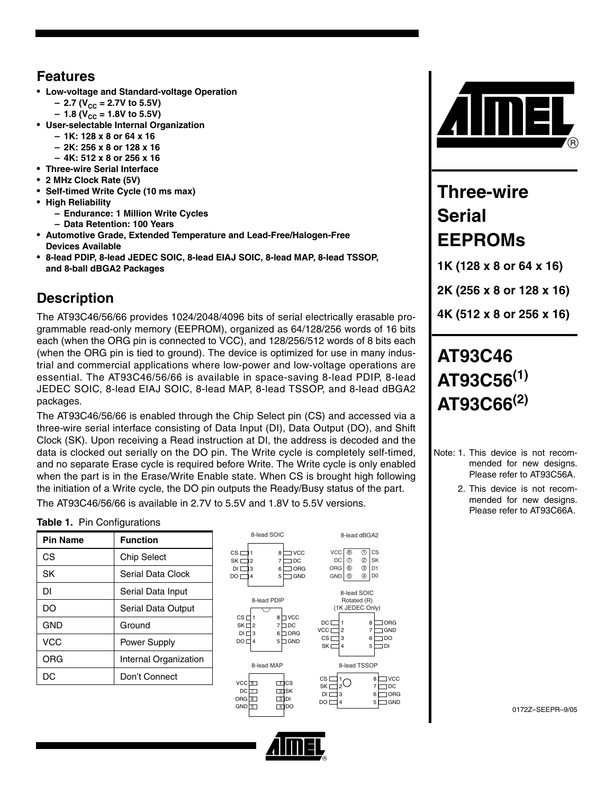### **Features**

- **Low-voltage and Standard-voltage Operation**
	- $-$  2.7 (V<sub>CC</sub> = 2.7V to 5.5V)
	- $-1.8$  (V<sub>CC</sub> = 1.8V to 5.5V)
- **User-selectable Internal Organization**
	- **1K: 128 x 8 or 64 x 16**
	- **2K: 256 x 8 or 128 x 16**
	- **4K: 512 x 8 or 256 x 16**
- **Three-wire Serial Interface**
- **2 MHz Clock Rate (5V)**
- **Self-timed Write Cycle (10 ms max)**
- **High Reliability**
	- **Endurance: 1 Million Write Cycles**
	- **Data Retention: 100 Years**
- **Automotive Grade, Extended Temperature and Lead-Free/Halogen-Free Devices Available**
- **8-lead PDIP, 8-lead JEDEC SOIC, 8-lead EIAJ SOIC, 8-lead MAP, 8-lead TSSOP, and 8-ball dBGA2 Packages**

## **Description**

The AT93C46/56/66 provides 1024/2048/4096 bits of serial electrically erasable programmable read-only memory (EEPROM), organized as 64/128/256 words of 16 bits each (when the ORG pin is connected to VCC), and 128/256/512 words of 8 bits each (when the ORG pin is tied to ground). The device is optimized for use in many industrial and commercial applications where low-power and low-voltage operations are essential. The AT93C46/56/66 is available in space-saving 8-lead PDIP, 8-lead JEDEC SOIC, 8-lead EIAJ SOIC, 8-lead MAP, 8-lead TSSOP, and 8-lead dBGA2 packages.

The AT93C46/56/66 is enabled through the Chip Select pin (CS) and accessed via a three-wire serial interface consisting of Data Input (DI), Data Output (DO), and Shift Clock (SK). Upon receiving a Read instruction at DI, the address is decoded and the data is clocked out serially on the DO pin. The Write cycle is completely self-timed, and no separate Erase cycle is required before Write. The Write cycle is only enabled when the part is in the Erase/Write Enable state. When CS is brought high following the initiation of a Write cycle, the DO pin outputs the Ready/Busy status of the part.

The AT93C46/56/66 is available in 2.7V to 5.5V and 1.8V to 5.5V versions.

### **Table 1.** Pin Configurations

| <b>Pin Name</b> | <b>Function</b>       |
|-----------------|-----------------------|
| CS              | <b>Chip Select</b>    |
| SK              | Serial Data Clock     |
| DΙ              | Serial Data Input     |
| DΟ              | Serial Data Output    |
| GND             | Ground                |
| <b>VCC</b>      | Power Supply          |
| ORG             | Internal Organization |
| DC              | Don't Connect         |





# **Three-wire Serial EEPROMs**

**1K (128 x 8 or 64 x 16)**

**2K (256 x 8 or 128 x 16)**

**4K (512 x 8 or 256 x 16)**

# **AT93C46 AT93C56(1) AT93C66(2)**

- Note: 1. This device is not recommended for new designs. Please refer to AT93C56A.
	- 2. This device is not recommended for new designs. Please refer to AT93C66A.

0172Z–SEEPR–9/05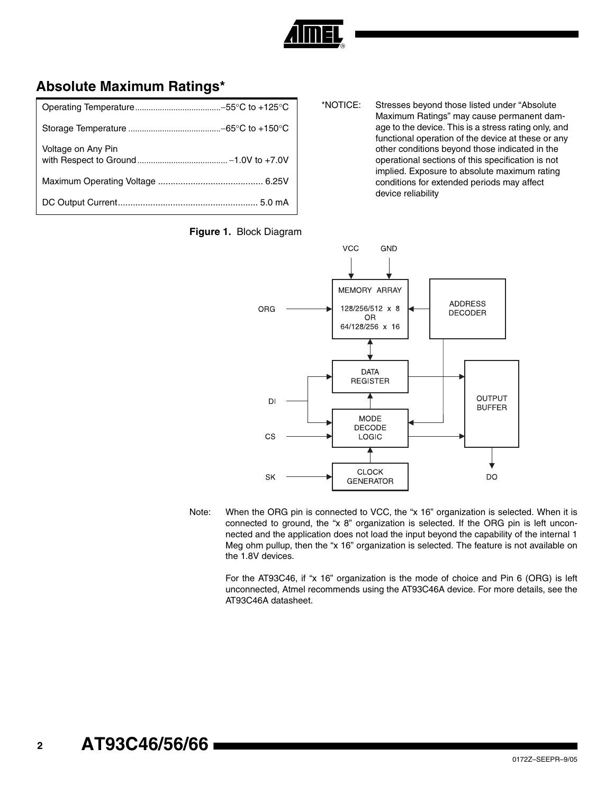

## **Absolute Maximum Ratings\***

| Voltage on Any Pin |
|--------------------|
|                    |
|                    |

\*NOTICE: Stresses beyond those listed under "Absolute Maximum Ratings" may cause permanent damage to the device. This is a stress rating only, and functional operation of the device at these or any other conditions beyond those indicated in the operational sections of this specification is not implied. Exposure to absolute maximum rating conditions for extended periods may affect device reliability



Note: When the ORG pin is connected to VCC, the "x 16" organization is selected. When it is connected to ground, the "x 8" organization is selected. If the ORG pin is left unconnected and the application does not load the input beyond the capability of the internal 1 Meg ohm pullup, then the "x 16" organization is selected. The feature is not available on the 1.8V devices.

For the AT93C46, if "x 16" organization is the mode of choice and Pin 6 (ORG) is left unconnected, Atmel recommends using the AT93C46A device. For more details, see the AT93C46A datasheet.

**<sup>2</sup> AT93C46/56/66**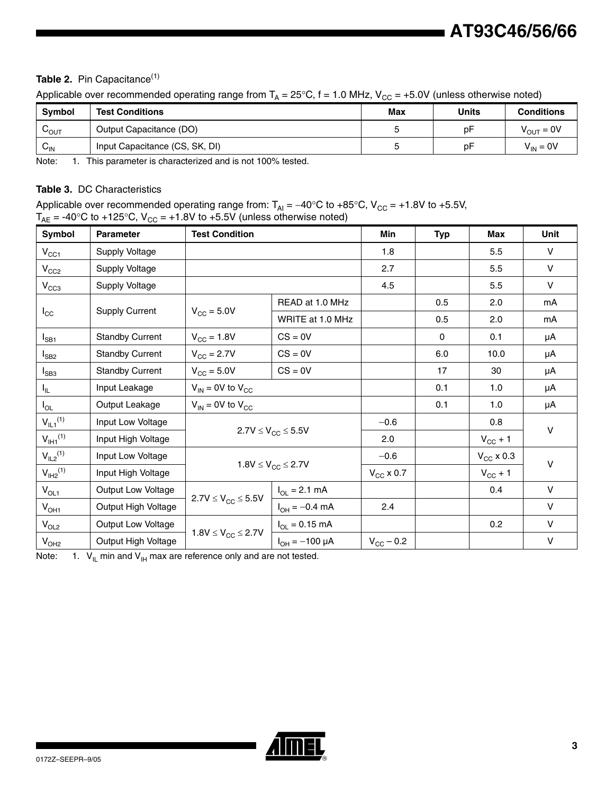### Table 2. Pin Capacitance<sup>[\(1\)](#page-2-1)</sup>

Applicable over recommended operating range from  $T_A = 25^{\circ}C$ , f = 1.0 MHz,  $V_{CC} = +5.0V$  (unless otherwise noted)

| <b>Symbol</b>   | <b>Test Conditions</b>         | <b>Max</b> | Units | <b>Conditions</b> |
|-----------------|--------------------------------|------------|-------|-------------------|
| ∪ουτ            | Output Capacitance (DO)        |            | рF    | $V_{OUT} = 0V$    |
| $V_{\text{IN}}$ | Input Capacitance (CS, SK, DI) |            | рF    | $V_{IN} = 0V$     |

<span id="page-2-1"></span>Note: 1. This parameter is characterized and is not 100% tested.

### **Table 3.** DC Characteristics

Applicable over recommended operating range from:  $T_{Al} = -40^{\circ}$ C to +85°C, V<sub>CC</sub> = +1.8V to +5.5V,  $T_{AE}$  = -40°C to +125°C, V<sub>CC</sub> = +1.8V to +5.5V (unless otherwise noted)

| Symbol                 | <b>Parameter</b>       | <b>Test Condition</b>            |                              | Min                | <b>Typ</b>  | Max                 | <b>Unit</b> |
|------------------------|------------------------|----------------------------------|------------------------------|--------------------|-------------|---------------------|-------------|
| $V_{CC1}$              | <b>Supply Voltage</b>  |                                  |                              | 1.8                |             | 5.5                 | $\vee$      |
| $V_{CC2}$              | Supply Voltage         |                                  |                              | 2.7                |             | 5.5                 | V           |
| $V_{CC3}$              | Supply Voltage         |                                  |                              | 4.5                |             | 5.5                 | V           |
|                        |                        |                                  | READ at 1.0 MHz              |                    | 0.5         | 2.0                 | mA          |
| $I_{\rm CC}$           | <b>Supply Current</b>  | $V_{\text{CC}} = 5.0V$           | WRITE at 1.0 MHz             |                    | 0.5         | 2.0                 | mA          |
| $I_{SB1}$              | <b>Standby Current</b> | $V_{\rm CC} = 1.8V$              | $CS = 0V$                    |                    | $\mathbf 0$ | 0.1                 | μA          |
| $I_{SB2}$              | <b>Standby Current</b> | $V_{\rm CC}$ = 2.7V<br>$CS = 0V$ |                              |                    | 6.0         | 10.0                | μA          |
| $I_{SB3}$              | <b>Standby Current</b> | $V_{\text{CC}} = 5.0V$           | $CS = 0V$                    |                    | 17          | 30                  | μA          |
| $I_{\rm IL}$           | Input Leakage          | $V_{IN}$ = 0V to $V_{CC}$        |                              | 0.1                | 1.0         | μA                  |             |
| $I_{OL}$               | Output Leakage         | $V_{IN}$ = 0V to $V_{CC}$        |                              |                    | 0.1         | 1.0                 | μA          |
| $V_{IL1}^{(1)}$        | Input Low Voltage      |                                  |                              | $-0.6$             |             | 0.8                 | $\vee$      |
| $V_{\text{I}H1}^{(1)}$ | Input High Voltage     |                                  | $2.7V \leq V_{CC} \leq 5.5V$ | 2.0                |             | $V_{\text{CC}} + 1$ |             |
| $V_{IL2}^{(1)}$        | Input Low Voltage      |                                  |                              | $-0.6$             |             | $V_{\rm CC}$ x 0.3  | $\vee$      |
| $V_{I H2}^{(1)}$       | Input High Voltage     | $1.8V \le V_{CC} \le 2.7V$       |                              | $V_{CC}$ x 0.7     |             | $V_{CC}$ + 1        |             |
| $V_{OL1}$              | Output Low Voltage     |                                  | $I_{OL} = 2.1$ mA            |                    |             | 0.4                 | V           |
| $V_{OH1}$              | Output High Voltage    | $2.7V \leq V_{CC} \leq 5.5V$     | $I_{OH} = -0.4$ mA           | 2.4                |             |                     | $\vee$      |
| $V_{OL2}$              | Output Low Voltage     |                                  | $I_{OL} = 0.15$ mA           |                    |             | 0.2                 | $\vee$      |
| V <sub>OH2</sub>       | Output High Voltage    | $1.8V \le V_{CC} \le 2.7V$       | $I_{OH} = -100 \mu A$        | $V_{\rm CC}$ – 0.2 |             |                     | $\vee$      |

<span id="page-2-0"></span>Note: 1.  $V_{\text{IL}}$  min and  $V_{\text{IH}}$  max are reference only and are not tested.

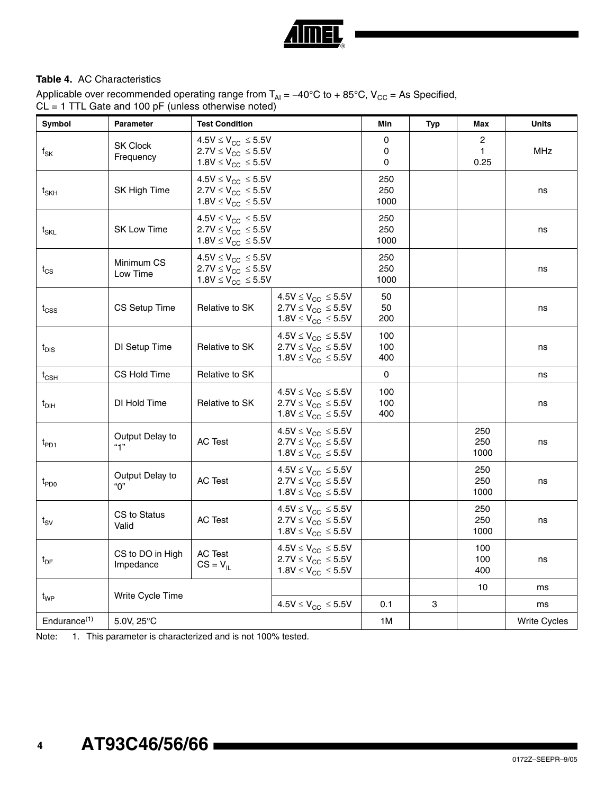

### <span id="page-3-0"></span>**Table 4.** AC Characteristics

Applicable over recommended operating range from  $T_{\rm Al}$  = −40°C to + 85°C, V<sub>CC</sub> = As Specified, CL = 1 TTL Gate and 100 pF (unless otherwise noted)

| Symbol                               | <b>Parameter</b>              | <b>Test Condition</b>                                                                        |                                                                                                         | Min                | Typ | Max                | <b>Units</b>        |
|--------------------------------------|-------------------------------|----------------------------------------------------------------------------------------------|---------------------------------------------------------------------------------------------------------|--------------------|-----|--------------------|---------------------|
| $f_{\mathsf{SK}}$                    | <b>SK Clock</b><br>Frequency  | $4.5V \leq V_{CC} \leq 5.5V$<br>$2.7V \leq V_{CC} \leq 5.5V$<br>$1.8V \leq V_{CC} \leq 5.5V$ |                                                                                                         | 0<br>0<br>0        |     | 2<br>1<br>0.25     | <b>MHz</b>          |
| $\mathsf{t}_{\mathsf{SKH}}$          | SK High Time                  | $4.5V \leq V_{CC} \leq 5.5V$<br>$2.7V \leq V_{CC} \leq 5.5V$<br>$1.8V \leq V_{CC} \leq 5.5V$ |                                                                                                         | 250<br>250<br>1000 |     |                    | ns                  |
| $t_{\text{SKL}}$                     | <b>SK Low Time</b>            | $4.5V \leq V_{CC} \leq 5.5V$<br>$2.7V \leq V_{CC} \leq 5.5V$<br>$1.8V \leq V_{CC} \leq 5.5V$ |                                                                                                         | 250<br>250<br>1000 |     |                    | ns                  |
| $t_{CS}$                             | Minimum CS<br>Low Time        | $4.5V \leq V_{CC} \leq 5.5V$<br>$2.7V \leq V_{CC} \leq 5.5V$<br>$1.8V \leq V_{CC} \leq 5.5V$ |                                                                                                         | 250<br>250<br>1000 |     |                    | ns                  |
| $t_{\text{CSS}}$                     | CS Setup Time                 | Relative to SK                                                                               | $4.5V \leq V_{CC} \leq 5.5V$<br>$2.7V \leq V_{CC} \leq 5.5V$<br>$1.8V \leq V_{CC} \leq 5.5V$            | 50<br>50<br>200    |     |                    | ns                  |
| $t_{DIS}$                            | DI Setup Time                 | Relative to SK                                                                               | $4.5V \leq V_{CC} \leq 5.5V$<br>$2.7V \leq V_{CC} \leq 5.5V$<br>1.8V $\leq$ V <sub>CC</sub> $\leq$ 5.5V | 100<br>100<br>400  |     |                    | ns                  |
| $t_{\scriptscriptstyle{\text{CSH}}}$ | CS Hold Time                  | Relative to SK                                                                               |                                                                                                         | 0                  |     |                    | ns                  |
| $t_{DH}$                             | DI Hold Time                  | Relative to SK                                                                               | $4.5V \leq V_{CC} \leq 5.5V$<br>$2.7V \leq V_{CC} \leq 5.5V$<br>$1.8V \leq V_{CC} \leq 5.5V$            | 100<br>100<br>400  |     |                    | ns                  |
| $t_{PD1}$                            | Output Delay to<br>"1"        | <b>AC Test</b>                                                                               | $4.5V \leq V_{CC} \leq 5.5V$<br>$2.7V \leq V_{CC} \leq 5.5V$<br>$1.8V \leq V_{CC} \leq 5.5V$            |                    |     | 250<br>250<br>1000 | ns                  |
| $t_{PDO}$                            | Output Delay to<br>"በ"        | <b>AC Test</b>                                                                               | $4.5V \leq V_{CC} \leq 5.5V$<br>$2.7V \leq V_{CC} \leq 5.5V$<br>$1.8V \leq V_{CC} \leq 5.5V$            |                    |     | 250<br>250<br>1000 | ns                  |
| $t_{SV}$                             | CS to Status<br>Valid         | <b>AC Test</b>                                                                               | $4.5V \leq V_{CC} \leq 5.5V$<br>$2.7V \leq V_{CC} \leq 5.5V$<br>$1.8V \leq V_{CC} \leq 5.5V$            |                    |     | 250<br>250<br>1000 | ns                  |
| $t_{DF}$                             | CS to DO in High<br>Impedance | <b>AC Test</b><br>$CS = V_{IL}$                                                              | $4.5V \leq V_{CC} \leq 5.5V$<br>$2.7V \leq V_{CC} \leq 5.5V$<br>$1.8V \leq V_{CC} \leq 5.5V$            |                    |     | 100<br>100<br>400  | ns                  |
|                                      | Write Cycle Time              |                                                                                              |                                                                                                         |                    |     | 10                 | ms                  |
| t <sub>WP</sub>                      |                               |                                                                                              | $4.5V \leq V_{CC} \leq 5.5V$                                                                            | 0.1                | 3   |                    | ms                  |
| Endurance <sup>(1)</sup>             | 5.0V, 25°C                    |                                                                                              |                                                                                                         | 1M                 |     |                    | <b>Write Cycles</b> |

Note: 1. This parameter is characterized and is not 100% tested.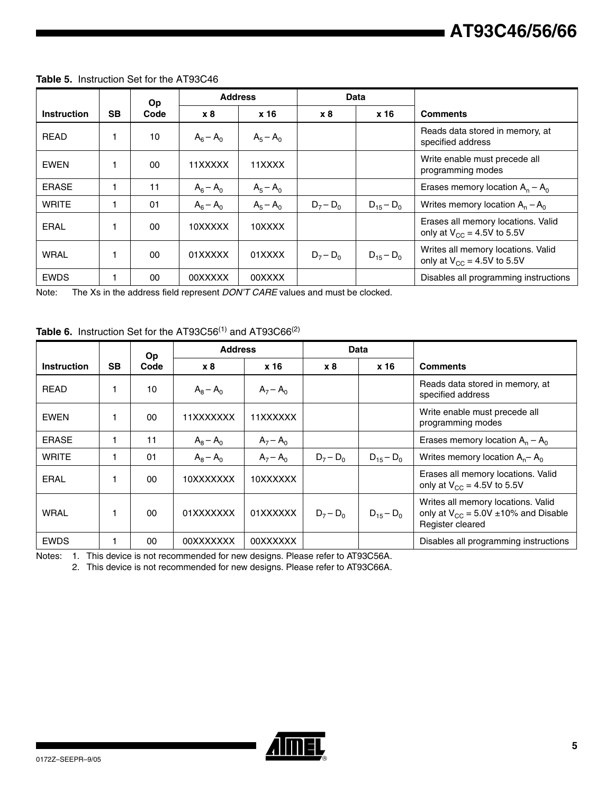|                    |           | <b>Op</b> | <b>Address</b> |             |             | Data           |                                                                       |
|--------------------|-----------|-----------|----------------|-------------|-------------|----------------|-----------------------------------------------------------------------|
| <b>Instruction</b> | <b>SB</b> | Code      | <b>x8</b>      | x 16        | x8          | x 16           | <b>Comments</b>                                                       |
| <b>READ</b>        |           | 10        | $A_6 - A_0$    | $A_5 - A_0$ |             |                | Reads data stored in memory, at<br>specified address                  |
| EWEN               |           | 00        | 11XXXXX        | 11XXXX      |             |                | Write enable must precede all<br>programming modes                    |
| <b>ERASE</b>       |           | 11        | $A_6 - A_0$    | $A_5 - A_0$ |             |                | Erases memory location $A_n - A_0$                                    |
| <b>WRITE</b>       |           | 01        | $A_6 - A_0$    | $A_5 - A_0$ | $D_7 - D_0$ | $D_{15} - D_0$ | Writes memory location $A_n - A_0$                                    |
| <b>ERAL</b>        |           | 00        | 10XXXXX        | 10XXXX      |             |                | Erases all memory locations. Valid<br>only at $V_{CC}$ = 4.5V to 5.5V |
| <b>WRAL</b>        |           | 00        | 01XXXXX        | 01XXXX      | $D_7 - D_0$ | $D_{15} - D_0$ | Writes all memory locations. Valid<br>only at $V_{CC}$ = 4.5V to 5.5V |
| <b>EWDS</b>        |           | 00        | 00XXXXX        | 00XXXX      |             |                | Disables all programming instructions                                 |

### **Table 5.** Instruction Set for the AT93C46

Note: The Xs in the address field represent *DON'T CARE* values and must be clocked.

### **Table 6.** Instruction Set for the AT93C56<sup>(1)</sup> and AT93C66<sup>(2)</sup>

|                    |           | <b>Op</b> |             | <b>Address</b> |             | Data           |                                                                                                    |
|--------------------|-----------|-----------|-------------|----------------|-------------|----------------|----------------------------------------------------------------------------------------------------|
| <b>Instruction</b> | <b>SB</b> | Code      | x8          | x 16           | x8          | x 16           | <b>Comments</b>                                                                                    |
| <b>READ</b>        |           | 10        | $A_8 - A_0$ | $A_7 - A_0$    |             |                | Reads data stored in memory, at<br>specified address                                               |
| EWEN               |           | $00 \,$   | 11XXXXXXX   | 11XXXXXX       |             |                | Write enable must precede all<br>programming modes                                                 |
| <b>ERASE</b>       |           | 11        | $A_8 - A_0$ | $A_7 - A_0$    |             |                | Erases memory location $A_n - A_0$                                                                 |
| <b>WRITE</b>       |           | 01        | $A_8 - A_0$ | $A_7 - A_0$    | $D_7 - D_0$ | $D_{15} - D_0$ | Writes memory location $A_n - A_0$                                                                 |
| ERAL               |           | 00        | 10XXXXXXX   | 10XXXXXX       |             |                | Erases all memory locations. Valid<br>only at $V_{CC}$ = 4.5V to 5.5V                              |
| <b>WRAL</b>        |           | 00        | 01XXXXXXX   | 01XXXXXX       | $D_7 - D_0$ | $D_{15} - D_0$ | Writes all memory locations. Valid<br>only at $V_{CC}$ = 5.0V ±10% and Disable<br>Register cleared |
| <b>EWDS</b>        |           | 00        | 00XXXXXXX   | 00XXXXXX       |             |                | Disables all programming instructions                                                              |

Notes: 1. This device is not recommended for new designs. Please refer to AT93C56A.

2. This device is not recommended for new designs. Please refer to AT93C66A.

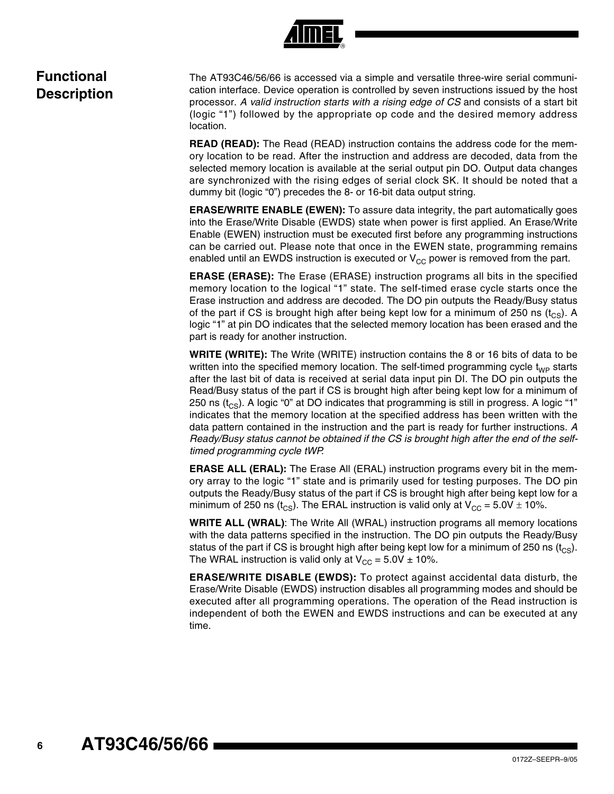## **Functional Description**

The AT93C46/56/66 is accessed via a simple and versatile three-wire serial communication interface. Device operation is controlled by seven instructions issued by the host processor. *A valid instruction starts with a rising edge of CS* and consists of a start bit (logic "1") followed by the appropriate op code and the desired memory address location.

**READ (READ):** The Read (READ) instruction contains the address code for the memory location to be read. After the instruction and address are decoded, data from the selected memory location is available at the serial output pin DO. Output data changes are synchronized with the rising edges of serial clock SK. It should be noted that a dummy bit (logic "0") precedes the 8- or 16-bit data output string.

**ERASE/WRITE ENABLE (EWEN):** To assure data integrity, the part automatically goes into the Erase/Write Disable (EWDS) state when power is first applied. An Erase/Write Enable (EWEN) instruction must be executed first before any programming instructions can be carried out. Please note that once in the EWEN state, programming remains enabled until an EWDS instruction is executed or  $V_{CC}$  power is removed from the part.

**ERASE (ERASE):** The Erase (ERASE) instruction programs all bits in the specified memory location to the logical "1" state. The self-timed erase cycle starts once the Erase instruction and address are decoded. The DO pin outputs the Ready/Busy status of the part if CS is brought high after being kept low for a minimum of 250 ns  $(t_{CS})$ . A logic "1" at pin DO indicates that the selected memory location has been erased and the part is ready for another instruction.

**WRITE (WRITE):** The Write (WRITE) instruction contains the 8 or 16 bits of data to be written into the specified memory location. The self-timed programming cycle  $t_{WP}$  starts after the last bit of data is received at serial data input pin DI. The DO pin outputs the Read/Busy status of the part if CS is brought high after being kept low for a minimum of 250 ns  $(t_{CS})$ . A logic "0" at DO indicates that programming is still in progress. A logic "1" indicates that the memory location at the specified address has been written with the data pattern contained in the instruction and the part is ready for further instructions. *A Ready/Busy status cannot be obtained if the CS is brought high after the end of the selftimed programming cycle tWP.*

**ERASE ALL (ERAL):** The Erase All (ERAL) instruction programs every bit in the memory array to the logic "1" state and is primarily used for testing purposes. The DO pin outputs the Ready/Busy status of the part if CS is brought high after being kept low for a minimum of 250 ns (t<sub>CS</sub>). The ERAL instruction is valid only at  $V_{CC} = 5.0V \pm 10\%$ .

**WRITE ALL (WRAL)**: The Write All (WRAL) instruction programs all memory locations with the data patterns specified in the instruction. The DO pin outputs the Ready/Busy status of the part if CS is brought high after being kept low for a minimum of 250 ns  $(t_{\text{CS}})$ . The WRAL instruction is valid only at  $V_{CC} = 5.0V \pm 10\%$ .

**ERASE/WRITE DISABLE (EWDS):** To protect against accidental data disturb, the Erase/Write Disable (EWDS) instruction disables all programming modes and should be executed after all programming operations. The operation of the Read instruction is independent of both the EWEN and EWDS instructions and can be executed at any time.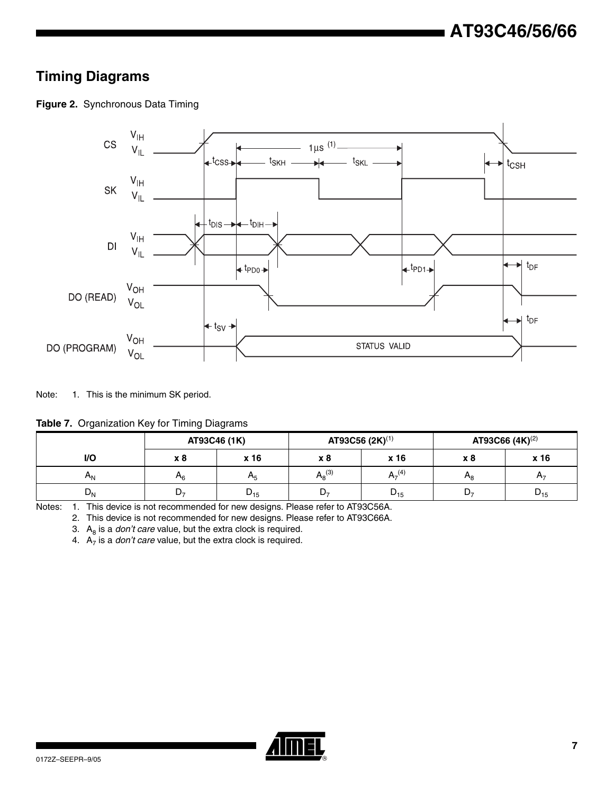## **Timing Diagrams**





Note: 1. This is the minimum SK period.

**Table 7.** Organization Key for Timing Diagrams

|         | AT93C46 (1K) |          | AT93C56 (2K) <sup>(1)</sup> |             | AT93C66 $(4K)^{(2)}$ |          |
|---------|--------------|----------|-----------------------------|-------------|----------------------|----------|
| I/O     | x 8          | x 16     | x 8                         | x 16        | x 8                  | x 16     |
| л.      | Μ6           | $A_5$    | $A_8^{(3)}$                 | $A_7^{(4)}$ | $H_{\rm R}$          | $H_7$    |
| $D_{N}$ | レァ           | $D_{15}$ | D-,                         | $D_{15}$    | D-                   | $U_{15}$ |

<span id="page-6-3"></span><span id="page-6-2"></span><span id="page-6-1"></span><span id="page-6-0"></span>Notes: 1. This device is not recommended for new designs. Please refer to AT93C56A.

2. This device is not recommended for new designs. Please refer to AT93C66A.

3.  $A_8$  is a *don't care* value, but the extra clock is required.

4.  $A_7$  is a *don't care* value, but the extra clock is required.

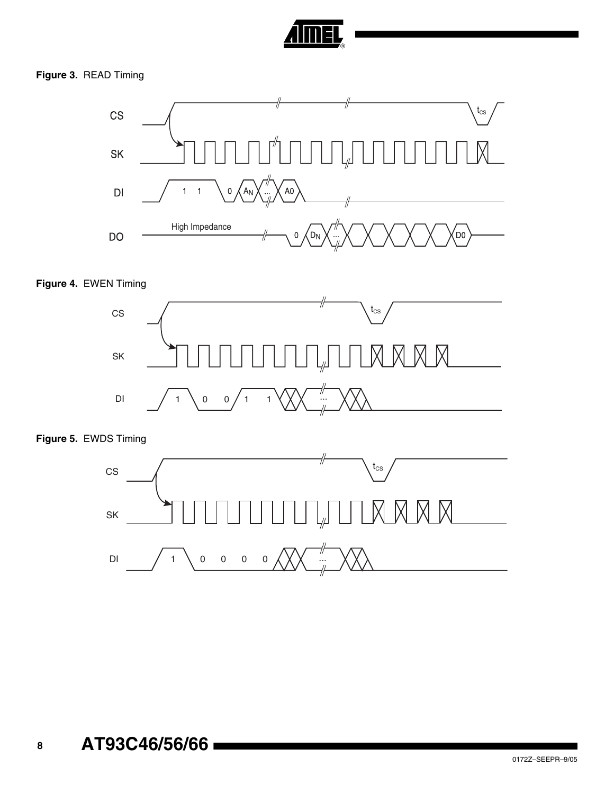

### **Figure 3.** READ Timing



### **Figure 4.** EWEN Timing



### **Figure 5.** EWDS Timing

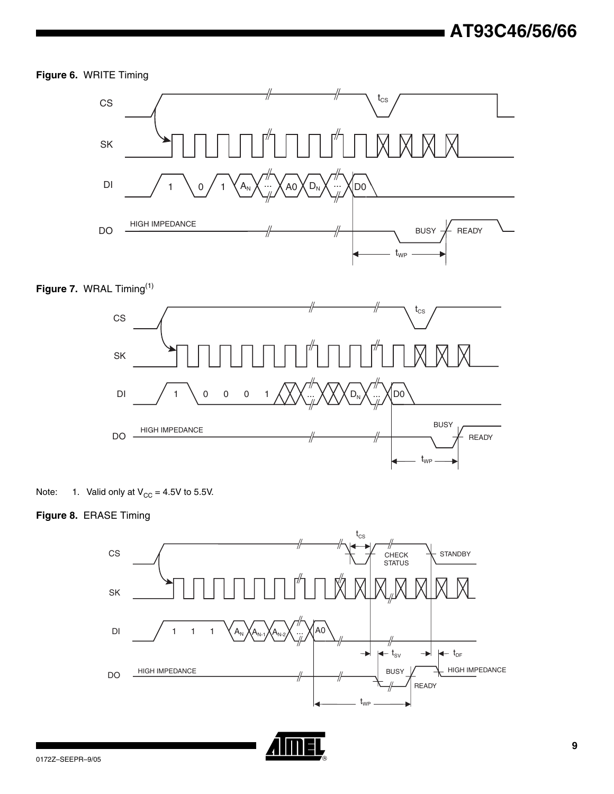### **Figure 6.** WRITE Timing







<span id="page-8-0"></span>

### **Figure 8.** ERASE Timing



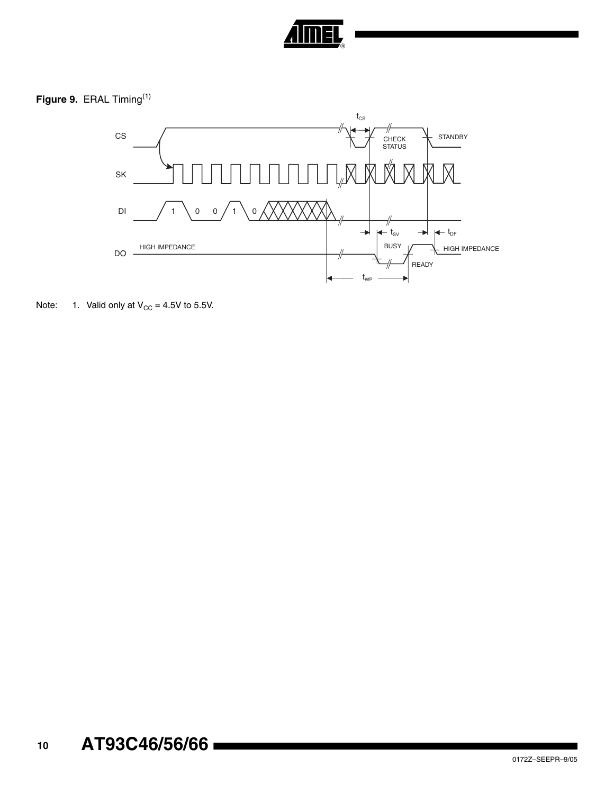

**Figure 9.** ERAL Timing[\(1\)](#page-9-0)



<span id="page-9-0"></span>Note: 1. Valid only at  $V_{CC} = 4.5V$  to 5.5V.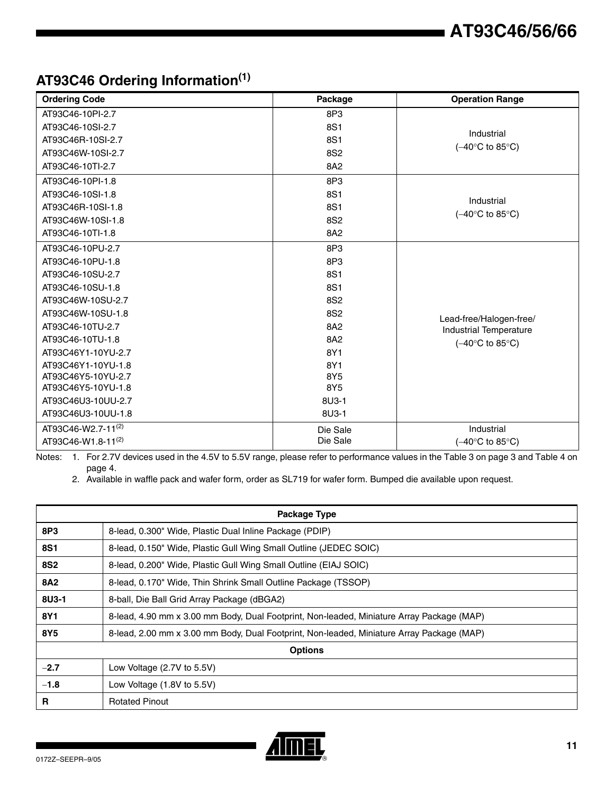## **AT93C46 Ordering Information(1)**

| <b>Ordering Code</b>           | Package         | <b>Operation Range</b>                   |
|--------------------------------|-----------------|------------------------------------------|
| AT93C46-10PI-2.7               | 8P3             |                                          |
| AT93C46-10SI-2.7               | 8S1             |                                          |
| AT93C46R-10SI-2.7              | 8S1             | Industrial                               |
| AT93C46W-10SI-2.7              | 8S <sub>2</sub> | $(-40^{\circ}C \text{ to } 85^{\circ}C)$ |
| AT93C46-10TI-2.7               | 8A2             |                                          |
| AT93C46-10PI-1.8               | 8P3             |                                          |
| AT93C46-10SI-1.8               | 8S1             | Industrial                               |
| AT93C46R-10SI-1.8              | 8S1             | $(-40^{\circ}C$ to 85°C)                 |
| AT93C46W-10SI-1.8              | 8S <sub>2</sub> |                                          |
| AT93C46-10TI-1.8               | 8A2             |                                          |
| AT93C46-10PU-2.7               | 8P3             |                                          |
| AT93C46-10PU-1.8               | 8P3             |                                          |
| AT93C46-10SU-2.7               | 8S1             |                                          |
| AT93C46-10SU-1.8               | 8S1             |                                          |
| AT93C46W-10SU-2.7              | 8S <sub>2</sub> |                                          |
| AT93C46W-10SU-1.8              | 8S <sub>2</sub> | Lead-free/Halogen-free/                  |
| AT93C46-10TU-2.7               | 8A2             | <b>Industrial Temperature</b>            |
| AT93C46-10TU-1.8               | 8A2             | $(-40^{\circ}C \text{ to } 85^{\circ}C)$ |
| AT93C46Y1-10YU-2.7             | 8Y1             |                                          |
| AT93C46Y1-10YU-1.8             | 8Y1             |                                          |
| AT93C46Y5-10YU-2.7             | 8Y5             |                                          |
| AT93C46Y5-10YU-1.8             | 8Y5             |                                          |
| AT93C46U3-10UU-2.7             | 8U3-1           |                                          |
| AT93C46U3-10UU-1.8             | 8U3-1           |                                          |
| AT93C46-W2.7-11 <sup>(2)</sup> | Die Sale        | Industrial                               |
| AT93C46-W1.8-11 <sup>(2)</sup> | Die Sale        | $(-40^{\circ}C \text{ to } 85^{\circ}C)$ |

Notes: 1. For 2.7V devices used in the 4.5V to 5.5V range, please refer to performance values in the Table 3 on page 3 and [Table 4 on](#page-3-0) [page 4.](#page-3-0)

2. Available in waffle pack and wafer form, order as SL719 for wafer form. Bumped die available upon request.

|            | <b>Package Type</b>                                                                       |  |  |  |  |
|------------|-------------------------------------------------------------------------------------------|--|--|--|--|
| 8P3        | 8-lead, 0.300" Wide, Plastic Dual Inline Package (PDIP)                                   |  |  |  |  |
| <b>8S1</b> | 8-lead, 0.150" Wide, Plastic Gull Wing Small Outline (JEDEC SOIC)                         |  |  |  |  |
| <b>8S2</b> | 8-lead, 0.200" Wide, Plastic Gull Wing Small Outline (EIAJ SOIC)                          |  |  |  |  |
| <b>8A2</b> | 8-lead, 0.170" Wide, Thin Shrink Small Outline Package (TSSOP)                            |  |  |  |  |
| 8U3-1      | 8-ball, Die Ball Grid Array Package (dBGA2)                                               |  |  |  |  |
| 8Y1        | 8-lead, 4.90 mm x 3.00 mm Body, Dual Footprint, Non-leaded, Miniature Array Package (MAP) |  |  |  |  |
| 8Y5        | 8-lead, 2.00 mm x 3.00 mm Body, Dual Footprint, Non-leaded, Miniature Array Package (MAP) |  |  |  |  |
|            | <b>Options</b>                                                                            |  |  |  |  |
| $-2.7$     | Low Voltage (2.7V to 5.5V)                                                                |  |  |  |  |
| $-1.8$     | Low Voltage (1.8V to 5.5V)                                                                |  |  |  |  |
| R          | <b>Rotated Pinout</b>                                                                     |  |  |  |  |

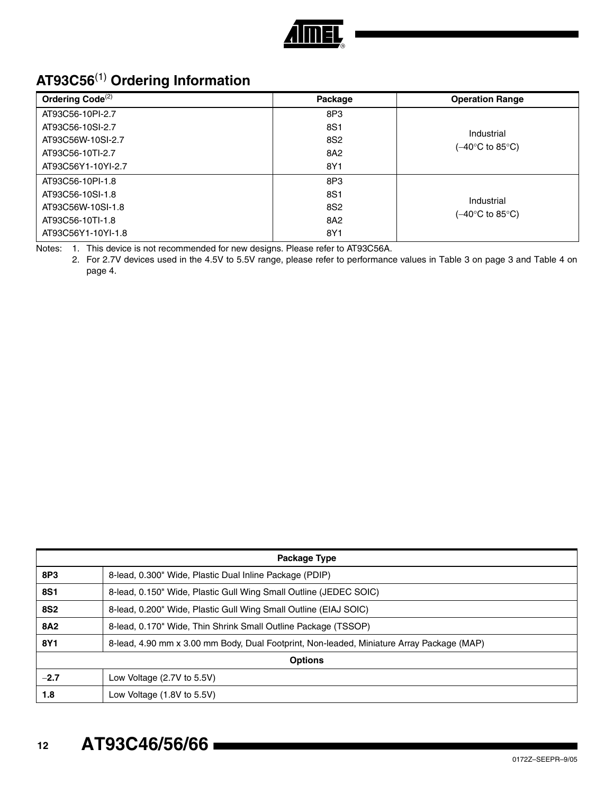

## **AT93C56**[\(1\)](#page-11-0) **Ordering Information**

| Ordering Code <sup>(2)</sup> | Package         | <b>Operation Range</b> |
|------------------------------|-----------------|------------------------|
| AT93C56-10PI-2.7             | 8P3             |                        |
| AT93C56-10SI-2.7             | 8S1             | Industrial             |
| AT93C56W-10SI-2.7            | 8S2             |                        |
| AT93C56-10TI-2.7             | 8A2             | (–40°C to 85°C).       |
| AT93C56Y1-10YI-2.7           | 8Y1             |                        |
| AT93C56-10PI-1.8             | 8P3             |                        |
| AT93C56-10SI-1.8             | 8S1             | Industrial             |
| AT93C56W-10SI-1.8            | 8S <sub>2</sub> | (–40°C to 85°C).       |
| AT93C56-10TI-1.8             | 8A2             |                        |
| AT93C56Y1-10YI-1.8           | 8Y1             |                        |

<span id="page-11-1"></span><span id="page-11-0"></span>Notes: 1. This device is not recommended for new designs. Please refer to AT93C56A.

2. For 2.7V devices used in the 4.5V to 5.5V range, please refer to performance values in Table 3 on page 3 and [Table 4 on](#page-3-0) [page 4.](#page-3-0)

|            | Package Type                                                                              |  |  |  |  |
|------------|-------------------------------------------------------------------------------------------|--|--|--|--|
| 8P3        | 8-lead, 0.300" Wide, Plastic Dual Inline Package (PDIP)                                   |  |  |  |  |
| <b>8S1</b> | 8-lead, 0.150" Wide, Plastic Gull Wing Small Outline (JEDEC SOIC)                         |  |  |  |  |
| <b>8S2</b> | 8-lead, 0.200" Wide, Plastic Gull Wing Small Outline (EIAJ SOIC)                          |  |  |  |  |
| 8A2        | 8-lead, 0.170" Wide, Thin Shrink Small Outline Package (TSSOP)                            |  |  |  |  |
| 8Y1        | 8-lead, 4.90 mm x 3.00 mm Body, Dual Footprint, Non-leaded, Miniature Array Package (MAP) |  |  |  |  |
|            | <b>Options</b>                                                                            |  |  |  |  |
| $-2.7$     | Low Voltage (2.7V to 5.5V)                                                                |  |  |  |  |
| 1.8        | Low Voltage (1.8V to 5.5V)                                                                |  |  |  |  |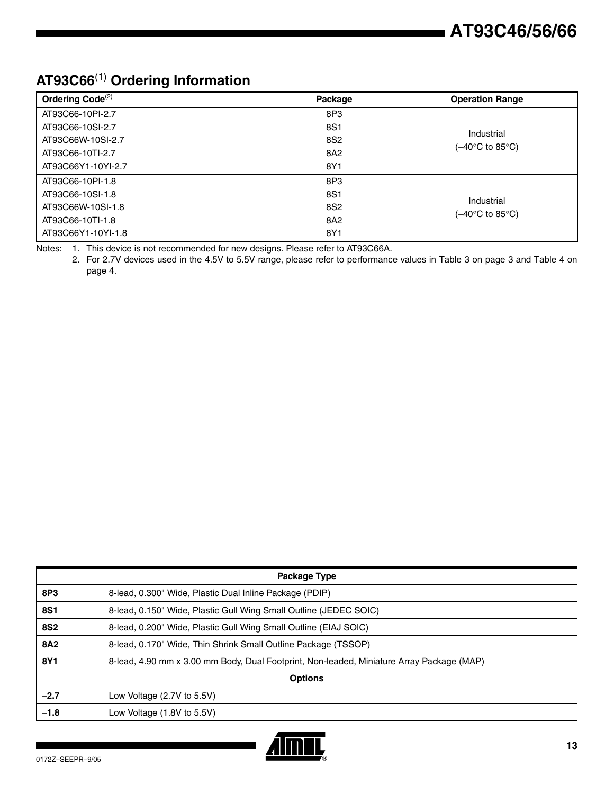## **AT93C66**(1) **Ordering Information**

| Ordering Code <sup>(2)</sup> | Package         | <b>Operation Range</b>         |
|------------------------------|-----------------|--------------------------------|
| AT93C66-10PI-2.7             | 8P3             | Industrial<br>(–40°C to 85°C). |
| AT93C66-10SI-2.7             | 8S1             |                                |
| AT93C66W-10SI-2.7            | 8S <sub>2</sub> |                                |
| AT93C66-10TI-2.7             | 8A2             |                                |
| AT93C66Y1-10YI-2.7           | 8Y1             |                                |
| AT93C66-10PI-1.8             | 8P3             | Industrial<br>(–40°C to 85°C). |
| AT93C66-10SI-1.8             | 8S1             |                                |
| AT93C66W-10SI-1.8            | 8S <sub>2</sub> |                                |
| AT93C66-10TI-1.8             | 8A2             |                                |
| AT93C66Y1-10YI-1.8           | 8Y1             |                                |

Notes: 1. This device is not recommended for new designs. Please refer to AT93C66A.

2. For 2.7V devices used in the 4.5V to 5.5V range, please refer to performance values in Table 3 on page 3 and [Table 4 on](#page-3-0) [page 4.](#page-3-0)

| <b>Package Type</b> |                                                                                           |  |
|---------------------|-------------------------------------------------------------------------------------------|--|
| 8P3                 | 8-lead, 0.300" Wide, Plastic Dual Inline Package (PDIP)                                   |  |
| <b>8S1</b>          | 8-lead, 0.150" Wide, Plastic Gull Wing Small Outline (JEDEC SOIC)                         |  |
| <b>8S2</b>          | 8-lead, 0.200" Wide, Plastic Gull Wing Small Outline (EIAJ SOIC)                          |  |
| <b>8A2</b>          | 8-lead, 0.170" Wide, Thin Shrink Small Outline Package (TSSOP)                            |  |
| 8Y1                 | 8-lead, 4.90 mm x 3.00 mm Body, Dual Footprint, Non-leaded, Miniature Array Package (MAP) |  |
| <b>Options</b>      |                                                                                           |  |
| $-2.7$              | Low Voltage $(2.7V)$ to 5.5V)                                                             |  |
| $-1.8$              | Low Voltage (1.8V to 5.5V)                                                                |  |

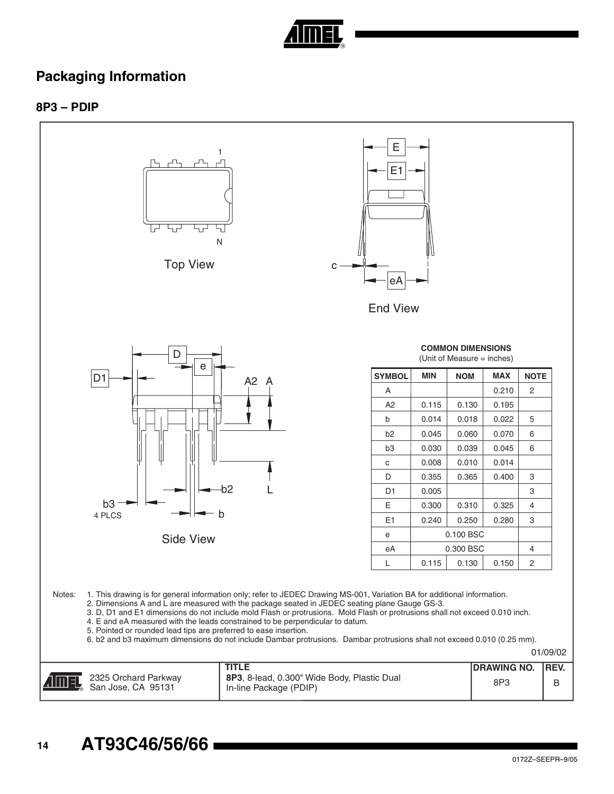

### **Packaging Information**

### **8P3 – PDIP**

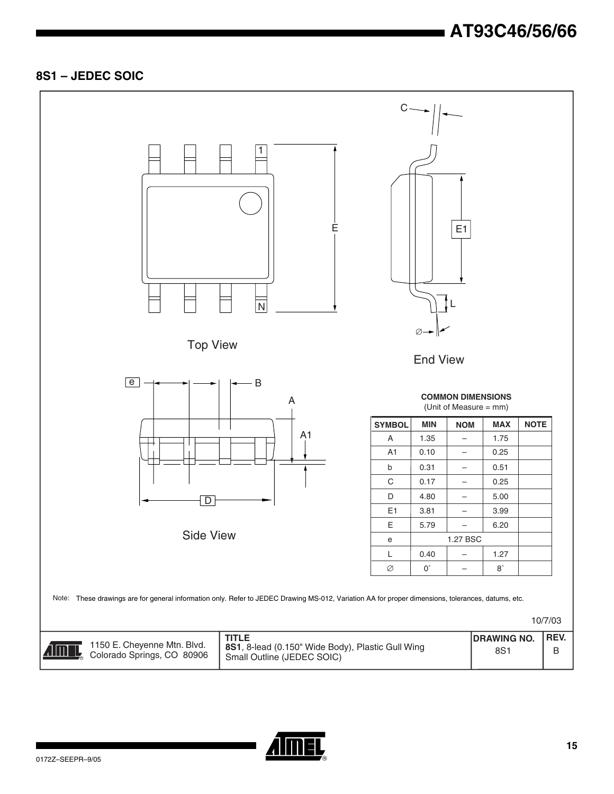### **8S1 – JEDEC SOIC**



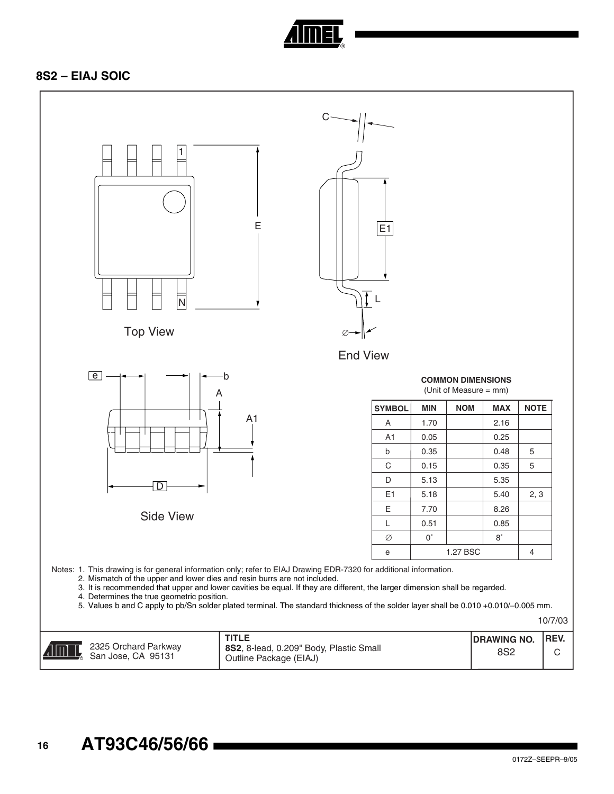

### **8S2 – EIAJ SOIC**

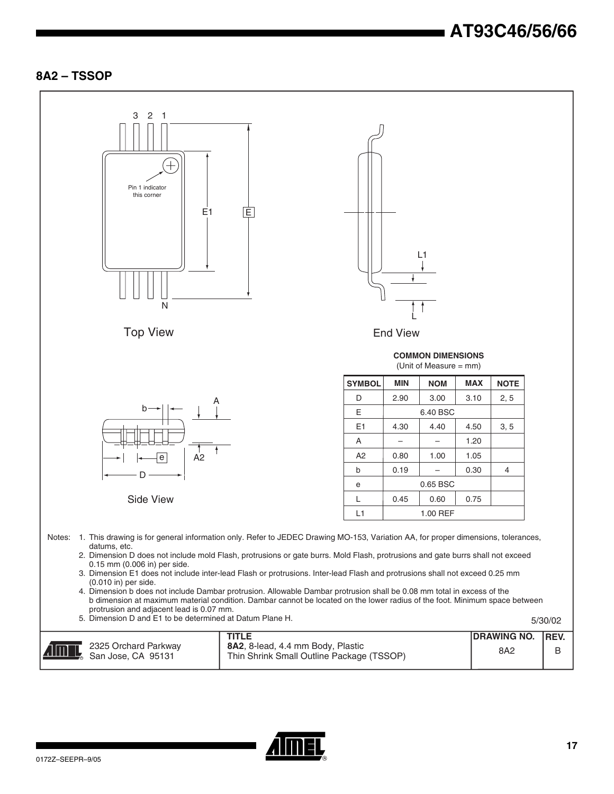### **8A2 – TSSOP**



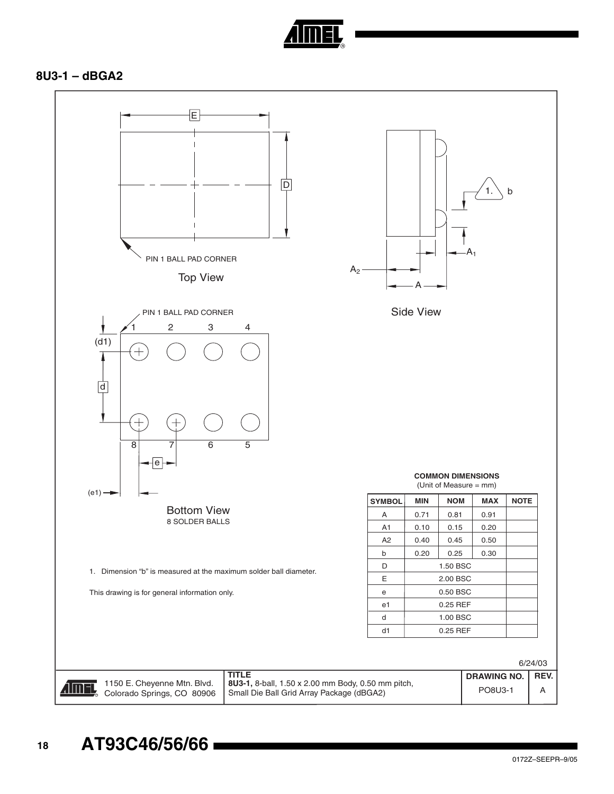

### **8U3-1 – dBGA2**

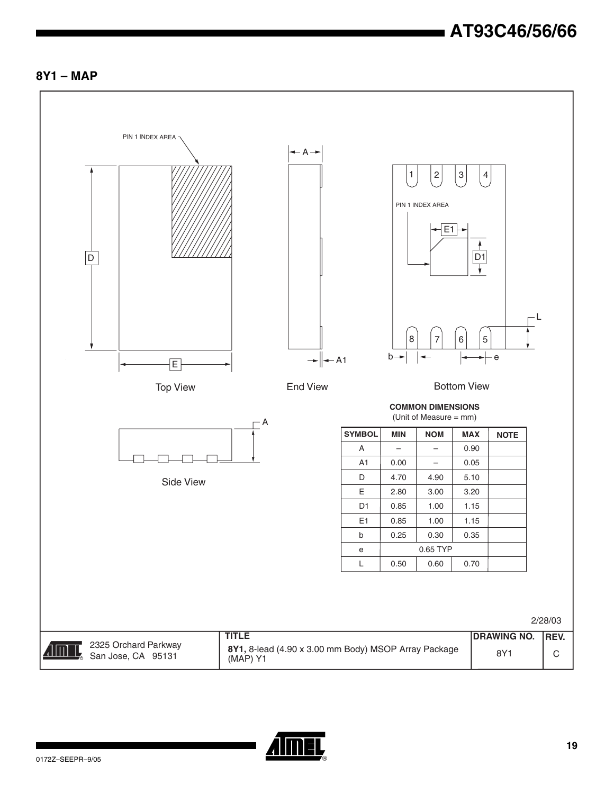### **8Y1 – MAP**



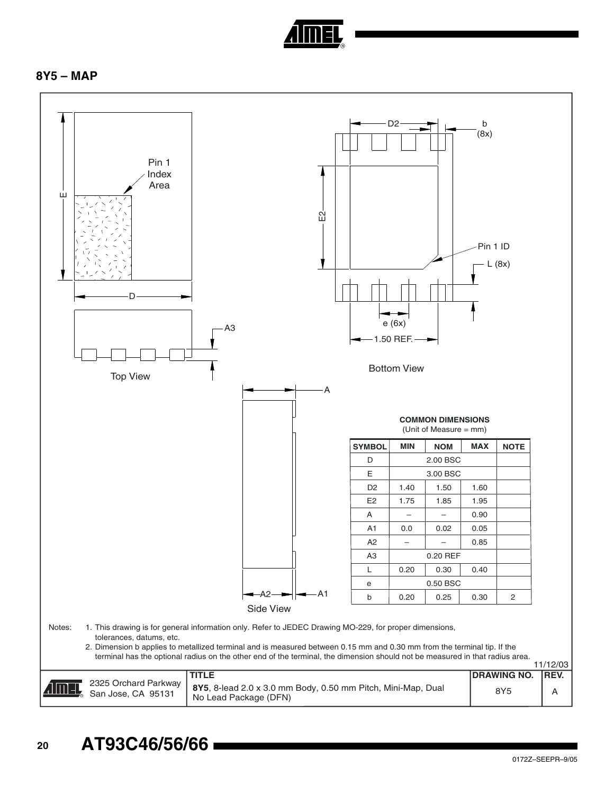

### **8Y5 – MAP**